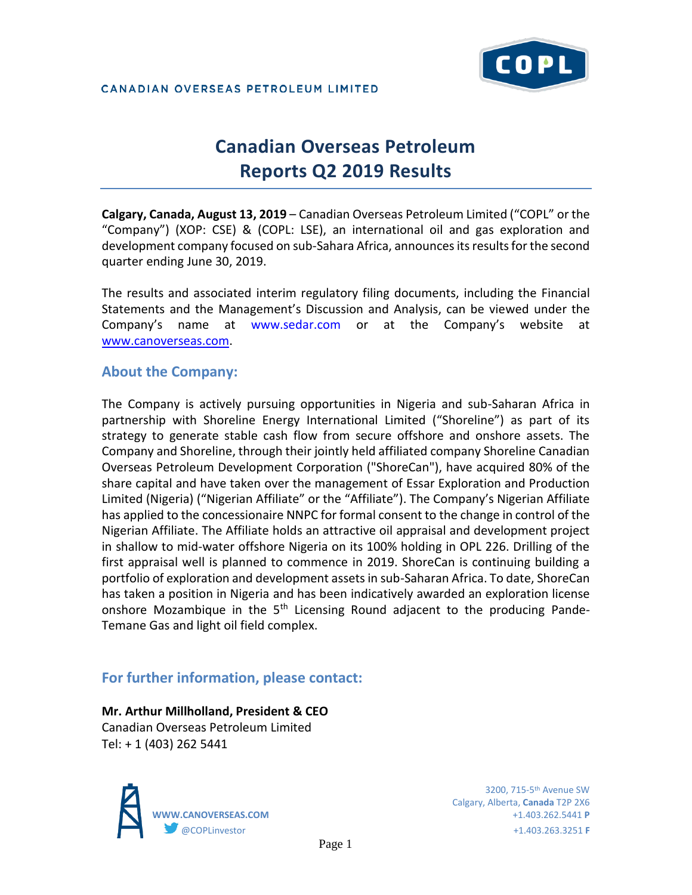

# **Canadian Overseas Petroleum Reports Q2 2019 Results**

**Calgary, Canada, August 13, 2019** – Canadian Overseas Petroleum Limited ("COPL" or the "Company") (XOP: CSE) & (COPL: LSE), an international oil and gas exploration and development company focused on sub-Sahara Africa, announces its results for the second quarter ending June 30, 2019.

The results and associated interim regulatory filing documents, including the Financial Statements and the Management's Discussion and Analysis, can be viewed under the Company's name at www.sedar.com or at the Company's website at [www.canoverseas.com.](http://www.canoverseas.com/)

### **About the Company:**

The Company is actively pursuing opportunities in Nigeria and sub-Saharan Africa in partnership with Shoreline Energy International Limited ("Shoreline") as part of its strategy to generate stable cash flow from secure offshore and onshore assets. The Company and Shoreline, through their jointly held affiliated company Shoreline Canadian Overseas Petroleum Development Corporation ("ShoreCan"), have acquired 80% of the share capital and have taken over the management of Essar Exploration and Production Limited (Nigeria) ("Nigerian Affiliate" or the "Affiliate"). The Company's Nigerian Affiliate has applied to the concessionaire NNPC for formal consent to the change in control of the Nigerian Affiliate. The Affiliate holds an attractive oil appraisal and development project in shallow to mid-water offshore Nigeria on its 100% holding in OPL 226. Drilling of the first appraisal well is planned to commence in 2019. ShoreCan is continuing building a portfolio of exploration and development assets in sub-Saharan Africa. To date, ShoreCan has taken a position in Nigeria and has been indicatively awarded an exploration license onshore Mozambique in the  $5<sup>th</sup>$  Licensing Round adjacent to the producing Pande-Temane Gas and light oil field complex.

## **For further information, please contact:**

# **Mr. Arthur Millholland, President & CEO**

Canadian Overseas Petroleum Limited Tel: + 1 (403) 262 5441



Calgary, Alberta, **Canada** T2P 2X6 **WWW.CANOVERSEAS.COM** +1.403.262.5441 **P** @COPLinvestor +1.403.263.3251 **F**